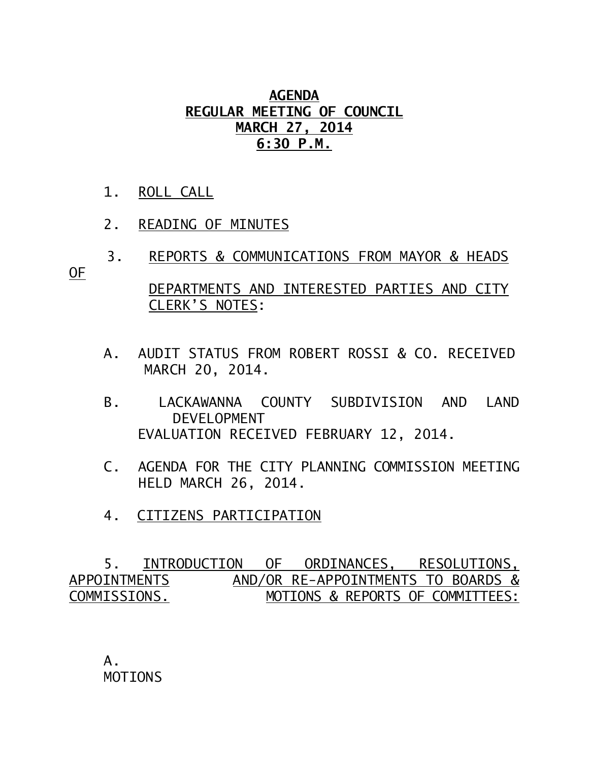## **AGENDA REGULAR MEETING OF COUNCIL MARCH 27, 2014 6:30 P.M.**

- 1. ROLL CALL
- 2. READING OF MINUTES

CLERK'S NOTES:

- 3. REPORTS & COMMUNICATIONS FROM MAYOR & HEADS OF DEPARTMENTS AND INTERESTED PARTIES AND CITY
	- A. AUDIT STATUS FROM ROBERT ROSSI & CO. RECEIVED MARCH 20, 2014.
	- B. LACKAWANNA COUNTY SUBDIVISION AND LAND DEVELOPMENT EVALUATION RECEIVED FEBRUARY 12, 2014.
	- C. AGENDA FOR THE CITY PLANNING COMMISSION MEETING HELD MARCH 26, 2014.
	- 4. CITIZENS PARTICIPATION

 5. INTRODUCTION OF ORDINANCES, RESOLUTIONS, APPOINTMENTSAND/OR RE-APPOINTMENTS TO BOARDS & COMMISSIONS. MOTIONS & REPORTS OF COMMITTEES:

 A. MOTIONS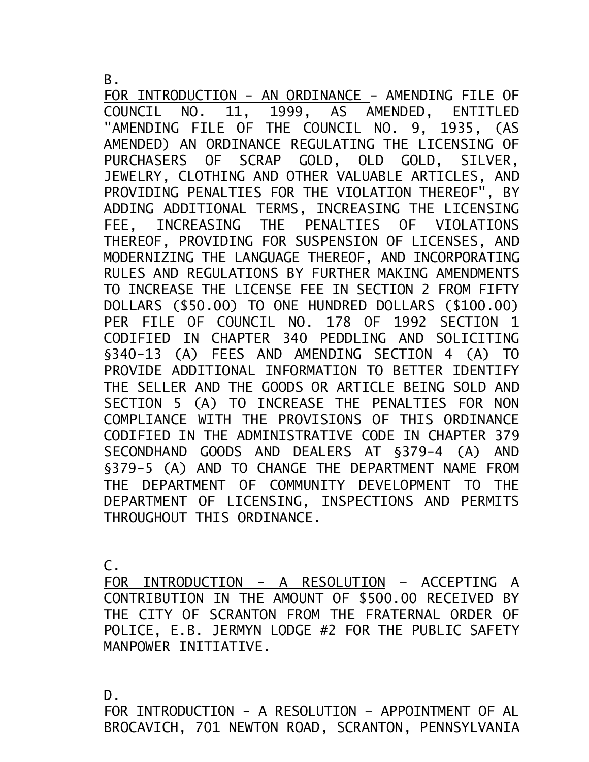B.

FOR INTRODUCTION - AN ORDINANCE - AMENDING FILE OF COUNCIL NO. 11, 1999, AS AMENDED, ENTITLED "AMENDING FILE OF THE COUNCIL NO. 9, 1935, (AS AMENDED) AN ORDINANCE REGULATING THE LICENSING OF PURCHASERS OF SCRAP GOLD, OLD GOLD, SILVER, JEWELRY, CLOTHING AND OTHER VALUABLE ARTICLES, AND PROVIDING PENALTIES FOR THE VIOLATION THEREOF", BY ADDING ADDITIONAL TERMS, INCREASING THE LICENSING FEE, INCREASING THE PENALTIES OF VIOLATIONS THEREOF, PROVIDING FOR SUSPENSION OF LICENSES, AND MODERNIZING THE LANGUAGE THEREOF, AND INCORPORATING RULES AND REGULATIONS BY FURTHER MAKING AMENDMENTS TO INCREASE THE LICENSE FEE IN SECTION 2 FROM FIFTY DOLLARS (\$50.00) TO ONE HUNDRED DOLLARS (\$100.00) PER FILE OF COUNCIL NO. 178 OF 1992 SECTION 1 CODIFIED IN CHAPTER 340 PEDDLING AND SOLICITING §340-13 (A) FEES AND AMENDING SECTION 4 (A) TO PROVIDE ADDITIONAL INFORMATION TO BETTER IDENTIFY THE SELLER AND THE GOODS OR ARTICLE BEING SOLD AND SECTION 5 (A) TO INCREASE THE PENALTIES FOR NON COMPLIANCE WITH THE PROVISIONS OF THIS ORDINANCE CODIFIED IN THE ADMINISTRATIVE CODE IN CHAPTER 379 SECONDHAND GOODS AND DEALERS AT §379-4 (A) AND §379-5 (A) AND TO CHANGE THE DEPARTMENT NAME FROM THE DEPARTMENT OF COMMUNITY DEVELOPMENT TO THE DEPARTMENT OF LICENSING, INSPECTIONS AND PERMITS THROUGHOUT THIS ORDINANCE.

C.

FOR INTRODUCTION - A RESOLUTION – ACCEPTING A CONTRIBUTION IN THE AMOUNT OF \$500.00 RECEIVED BY THE CITY OF SCRANTON FROM THE FRATERNAL ORDER OF POLICE, E.B. JERMYN LODGE #2 FOR THE PUBLIC SAFETY MANPOWER INITIATIVE.

D.

FOR INTRODUCTION - A RESOLUTION – APPOINTMENT OF AL BROCAVICH, 701 NEWTON ROAD, SCRANTON, PENNSYLVANIA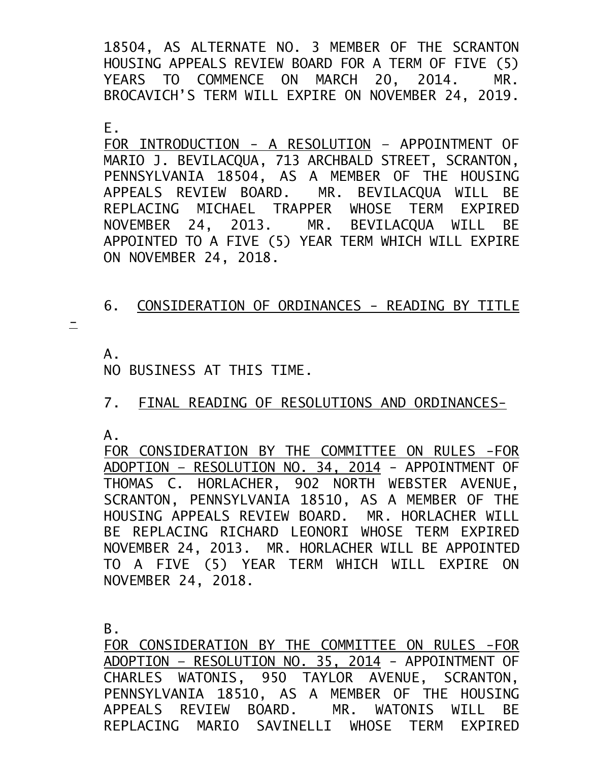18504, AS ALTERNATE NO. 3 MEMBER OF THE SCRANTON HOUSING APPEALS REVIEW BOARD FOR A TERM OF FIVE (5) YEARS TO COMMENCE ON MARCH 20, 2014. MR. BROCAVICH'S TERM WILL EXPIRE ON NOVEMBER 24, 2019.

E.

FOR INTRODUCTION - A RESOLUTION – APPOINTMENT OF MARIO J. BEVILACQUA, 713 ARCHBALD STREET, SCRANTON, PENNSYLVANIA 18504, AS A MEMBER OF THE HOUSING APPEALS REVIEW BOARD. MR. BEVILACQUA WILL BE REPLACING MICHAEL TRAPPER WHOSE TERM EXPIRED NOVEMBER 24, 2013. MR. BEVILACQUA WILL BE APPOINTED TO A FIVE (5) YEAR TERM WHICH WILL EXPIRE ON NOVEMBER 24, 2018.

## 6. CONSIDERATION OF ORDINANCES - READING BY TITLE

 $\equiv$ 

A.

NO BUSINESS AT THIS TIME.

## 7. FINAL READING OF RESOLUTIONS AND ORDINANCES-

A.

FOR CONSIDERATION BY THE COMMITTEE ON RULES -FOR ADOPTION – RESOLUTION NO. 34, 2014 - APPOINTMENT OF THOMAS C. HORLACHER, 902 NORTH WEBSTER AVENUE, SCRANTON, PENNSYLVANIA 18510, AS A MEMBER OF THE HOUSING APPEALS REVIEW BOARD. MR. HORLACHER WILL BE REPLACING RICHARD LEONORI WHOSE TERM EXPIRED NOVEMBER 24, 2013. MR. HORLACHER WILL BE APPOINTED TO A FIVE (5) YEAR TERM WHICH WILL EXPIRE ON NOVEMBER 24, 2018.

B.

FOR CONSIDERATION BY THE COMMITTEE ON RULES -FOR ADOPTION – RESOLUTION NO. 35, 2014 - APPOINTMENT OF CHARLES WATONIS, 950 TAYLOR AVENUE, SCRANTON, PENNSYLVANIA 18510, AS A MEMBER OF THE HOUSING APPEALS REVIEW BOARD. MR. WATONIS WILL BE REPLACING MARIO SAVINELLI WHOSE TERM EXPIRED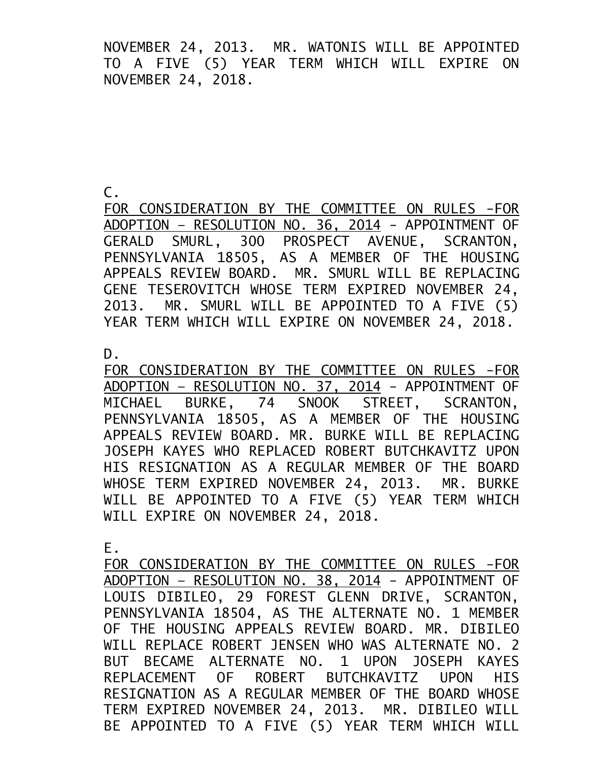NOVEMBER 24, 2013. MR. WATONIS WILL BE APPOINTED TO A FIVE (5) YEAR TERM WHICH WILL EXPIRE ON NOVEMBER 24, 2018.

C.

FOR CONSIDERATION BY THE COMMITTEE ON RULES -FOR ADOPTION – RESOLUTION NO. 36, 2014 - APPOINTMENT OF GERALD SMURL, 300 PROSPECT AVENUE, SCRANTON, PENNSYLVANIA 18505, AS A MEMBER OF THE HOUSING APPEALS REVIEW BOARD. MR. SMURL WILL BE REPLACING GENE TESEROVITCH WHOSE TERM EXPIRED NOVEMBER 24, 2013. MR. SMURL WILL BE APPOINTED TO A FIVE (5) YEAR TERM WHICH WILL EXPIRE ON NOVEMBER 24, 2018.

D.

FOR CONSIDERATION BY THE COMMITTEE ON RULES -FOR ADOPTION – RESOLUTION NO. 37, 2014 - APPOINTMENT OF MICHAEL BURKE, 74 SNOOK STREET, SCRANTON, PENNSYLVANIA 18505, AS A MEMBER OF THE HOUSING APPEALS REVIEW BOARD. MR. BURKE WILL BE REPLACING JOSEPH KAYES WHO REPLACED ROBERT BUTCHKAVITZ UPON HIS RESIGNATION AS A REGULAR MEMBER OF THE BOARD WHOSE TERM EXPIRED NOVEMBER 24, 2013. MR. BURKE WILL BE APPOINTED TO A FIVE (5) YEAR TERM WHICH WILL EXPIRE ON NOVEMBER 24, 2018.

E.

FOR CONSIDERATION BY THE COMMITTEE ON RULES -FOR ADOPTION – RESOLUTION NO. 38, 2014 - APPOINTMENT OF LOUIS DIBILEO, 29 FOREST GLENN DRIVE, SCRANTON, PENNSYLVANIA 18504, AS THE ALTERNATE NO. 1 MEMBER OF THE HOUSING APPEALS REVIEW BOARD. MR. DIBILEO WILL REPLACE ROBERT JENSEN WHO WAS ALTERNATE NO. 2 BUT BECAME ALTERNATE NO. 1 UPON JOSEPH KAYES REPLACEMENT OF ROBERT BUTCHKAVITZ UPON HIS RESIGNATION AS A REGULAR MEMBER OF THE BOARD WHOSE TERM EXPIRED NOVEMBER 24, 2013. MR. DIBILEO WILL BE APPOINTED TO A FIVE (5) YEAR TERM WHICH WILL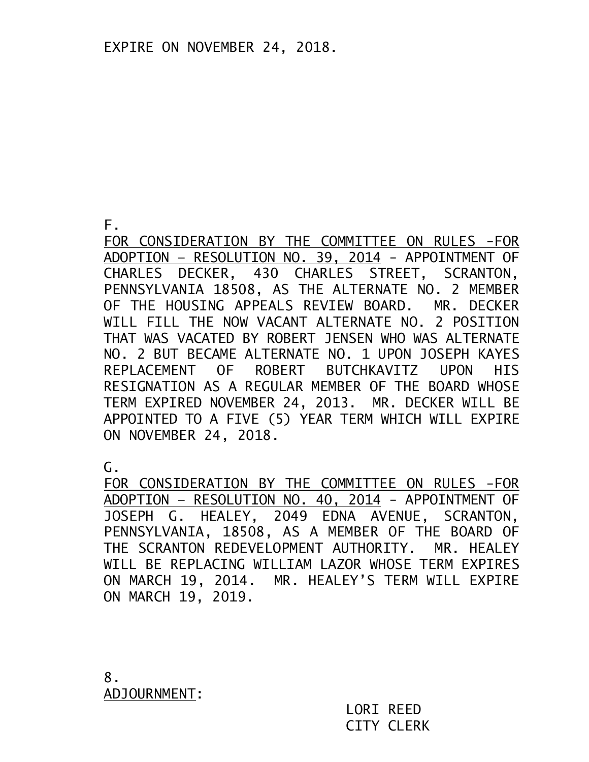F.

FOR CONSIDERATION BY THE COMMITTEE ON RULES -FOR ADOPTION – RESOLUTION NO. 39, 2014 - APPOINTMENT OF CHARLES DECKER, 430 CHARLES STREET, SCRANTON, PENNSYLVANIA 18508, AS THE ALTERNATE NO. 2 MEMBER OF THE HOUSING APPEALS REVIEW BOARD. MR. DECKER WILL FILL THE NOW VACANT ALTERNATE NO. 2 POSITION THAT WAS VACATED BY ROBERT JENSEN WHO WAS ALTERNATE NO. 2 BUT BECAME ALTERNATE NO. 1 UPON JOSEPH KAYES REPLACEMENT OF ROBERT BUTCHKAVITZ UPON HIS RESIGNATION AS A REGULAR MEMBER OF THE BOARD WHOSE TERM EXPIRED NOVEMBER 24, 2013. MR. DECKER WILL BE APPOINTED TO A FIVE (5) YEAR TERM WHICH WILL EXPIRE ON NOVEMBER 24, 2018.

G.

FOR CONSIDERATION BY THE COMMITTEE ON RULES -FOR ADOPTION – RESOLUTION NO. 40, 2014 - APPOINTMENT OF JOSEPH G. HEALEY, 2049 EDNA AVENUE, SCRANTON, PENNSYLVANIA, 18508, AS A MEMBER OF THE BOARD OF THE SCRANTON REDEVELOPMENT AUTHORITY. MR. HEALEY WILL BE REPLACING WILLIAM LAZOR WHOSE TERM EXPIRES ON MARCH 19, 2014. MR. HEALEY'S TERM WILL EXPIRE ON MARCH 19, 2019.

8. ADJOURNMENT:

LORI REED CITY CLERK